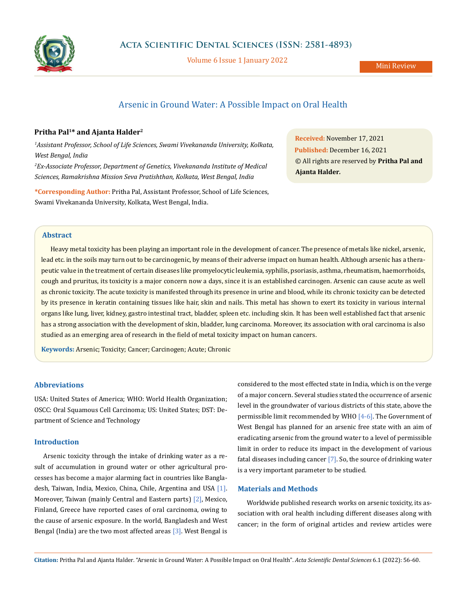

Volume 6 Issue 1 January 2022

# Arsenic in Ground Water: A Possible Impact on Oral Health

# **Pritha Pal1\* and Ajanta Halder2**

*1 Assistant Professor, School of Life Sciences, Swami Vivekananda University, Kolkata, West Bengal, India 2 Ex-Associate Professor, Department of Genetics, Vivekananda Institute of Medical Sciences, Ramakrishna Mission Seva Pratishthan, Kolkata, West Bengal, India*

**\*Corresponding Author:** Pritha Pal, Assistant Professor, School of Life Sciences, Swami Vivekananda University, Kolkata, West Bengal, India.

**Received:** November 17, 2021 **Published:** December 16, 2021 © All rights are reserved by **Pritha Pal and Ajanta Halder***.*

# **Abstract**

Heavy metal toxicity has been playing an important role in the development of cancer. The presence of metals like nickel, arsenic, lead etc. in the soils may turn out to be carcinogenic, by means of their adverse impact on human health. Although arsenic has a therapeutic value in the treatment of certain diseases like promyelocytic leukemia, syphilis, psoriasis, asthma, rheumatism, haemorrhoids, cough and pruritus, its toxicity is a major concern now a days, since it is an established carcinogen. Arsenic can cause acute as well as chronic toxicity. The acute toxicity is manifested through its presence in urine and blood, while its chronic toxicity can be detected by its presence in keratin containing tissues like hair, skin and nails. This metal has shown to exert its toxicity in various internal organs like lung, liver, kidney, gastro intestinal tract, bladder, spleen etc. including skin. It has been well established fact that arsenic has a strong association with the development of skin, bladder, lung carcinoma. Moreover, its association with oral carcinoma is also studied as an emerging area of research in the field of metal toxicity impact on human cancers.

**Keywords:** Arsenic; Toxicity; Cancer; Carcinogen; Acute; Chronic

## **Abbreviations**

USA: United States of America; WHO: World Health Organization; OSCC: Oral Squamous Cell Carcinoma; US: United States; DST: Department of Science and Technology

### **Introduction**

Arsenic toxicity through the intake of drinking water as a result of accumulation in ground water or other agricultural processes has become a major alarming fact in countries like Bangladesh, Taiwan, India, Mexico, China, Chile, Argentina and USA [1]. Moreover, Taiwan (mainly Central and Eastern parts) [2], Mexico, Finland, Greece have reported cases of oral carcinoma, owing to the cause of arsenic exposure. In the world, Bangladesh and West Bengal (India) are the two most affected areas  $[3]$ . West Bengal is

considered to the most effected state in India, which is on the verge of a major concern. Several studies stated the occurrence of arsenic level in the groundwater of various districts of this state, above the permissible limit recommended by WHO [4-6]. The Government of West Bengal has planned for an arsenic free state with an aim of eradicating arsenic from the ground water to a level of permissible limit in order to reduce its impact in the development of various fatal diseases including cancer  $[7]$ . So, the source of drinking water is a very important parameter to be studied.

# **Materials and Methods**

Worldwide published research works on arsenic toxicity, its association with oral health including different diseases along with cancer; in the form of original articles and review articles were

**Citation:** Pritha Pal and Ajanta Halder*.* "Arsenic in Ground Water: A Possible Impact on Oral Health". *Acta Scientific Dental Sciences* 6.1 (2022): 56-60.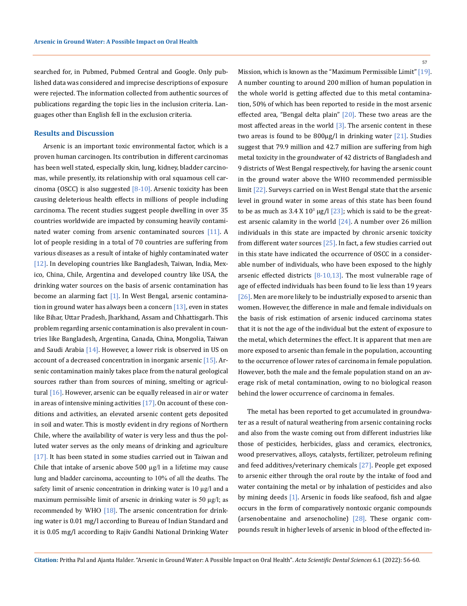searched for, in Pubmed, Pubmed Central and Google. Only published data was considered and imprecise descriptions of exposure were rejected. The information collected from authentic sources of publications regarding the topic lies in the inclusion criteria. Languages other than English fell in the exclusion criteria.

#### **Results and Discussion**

Arsenic is an important toxic environmental factor, which is a proven human carcinogen. Its contribution in different carcinomas has been well stated, especially skin, lung, kidney, bladder carcinomas, while presently, its relationship with oral squamous cell carcinoma (OSCC) is also suggested  $[8-10]$ . Arsenic toxicity has been causing deleterious health effects in millions of people including carcinoma. The recent studies suggest people dwelling in over 35 countries worldwide are impacted by consuming heavily contaminated water coming from arsenic contaminated sources [11]. A lot of people residing in a total of 70 countries are suffering from various diseases as a result of intake of highly contaminated water [12]. In developing countries like Bangladesh, Taiwan, India, Mexico, China, Chile, Argentina and developed country like USA, the drinking water sources on the basis of arsenic contamination has become an alarming fact [1]. In West Bengal, arsenic contamination in ground water has always been a concern  $[13]$ , even in states like Bihar, Uttar Pradesh, Jharkhand, Assam and Chhattisgarh. This problem regarding arsenic contamination is also prevalent in countries like Bangladesh, Argentina, Canada, China, Mongolia, Taiwan and Saudi Arabia [14]. However, a lower risk is observed in US on account of a decreased concentration in inorganic arsenic [15]. Arsenic contamination mainly takes place from the natural geological sources rather than from sources of mining, smelting or agricultural  $[16]$ . However, arsenic can be equally released in air or water in areas of intensive mining activities  $[17]$ . On account of these conditions and activities, an elevated arsenic content gets deposited in soil and water. This is mostly evident in dry regions of Northern Chile, where the availability of water is very less and thus the polluted water serves as the only means of drinking and agriculture [17]. It has been stated in some studies carried out in Taiwan and Chile that intake of arsenic above  $500 \mu g/l$  in a lifetime may cause lung and bladder carcinoma, accounting to 10% of all the deaths. The safety limit of arsenic concentration in drinking water is 10 µg/l and a maximum permissible limit of arsenic in drinking water is 50 µg/l; as recommended by WHO  $[18]$ . The arsenic concentration for drinking water is 0.01 mg/l according to Bureau of Indian Standard and it is 0.05 mg/l according to Rajiv Gandhi National Drinking Water Mission, which is known as the "Maximum Permissible Limit" [19]. A number counting to around 200 million of human population in the whole world is getting affected due to this metal contamination, 50% of which has been reported to reside in the most arsenic effected area, "Bengal delta plain" [20]. These two areas are the most affected areas in the world  $[3]$ . The arsenic content in these two areas is found to be  $800\mu$ g/l in drinking water [21]. Studies suggest that 79.9 million and 42.7 million are suffering from high metal toxicity in the groundwater of 42 districts of Bangladesh and 9 districts of West Bengal respectively, for having the arsenic count in the ground water above the WHO recommended permissible limit [22]. Surveys carried on in West Bengal state that the arsenic level in ground water in some areas of this state has been found to be as much as 3.4 X  $10^3$   $\mu$ g/l  $[23]$ ; which is said to be the greatest arsenic calamity in the world [24]. A number over 26 million individuals in this state are impacted by chronic arsenic toxicity from different water sources [25]. In fact, a few studies carried out in this state have indicated the occurrence of OSCC in a considerable number of individuals, who have been exposed to the highly arsenic effected districts [8-10,13]. The most vulnerable rage of age of effected individuals has been found to lie less than 19 years [ $26$ ]. Men are more likely to be industrially exposed to arsenic than women. However, the difference in male and female individuals on the basis of risk estimation of arsenic induced carcinoma states that it is not the age of the individual but the extent of exposure to the metal, which determines the effect. It is apparent that men are more exposed to arsenic than female in the population, accounting to the occurrence of lower rates of carcinoma in female population. However, both the male and the female population stand on an average risk of metal contamination, owing to no biological reason behind the lower occurrence of carcinoma in females.

The metal has been reported to get accumulated in groundwater as a result of natural weathering from arsenic containing rocks and also from the waste coming out from different industries like those of pesticides, herbicides, glass and ceramics, electronics, wood preservatives, alloys, catalysts, fertilizer, petroleum refining and feed additives/veterinary chemicals [27]. People get exposed to arsenic either through the oral route by the intake of food and water containing the metal or by inhalation of pesticides and also by mining deeds [1]. Arsenic in foods like seafood, fish and algae occurs in the form of comparatively nontoxic organic compounds (arsenobentaine and arsenocholine) [28]. These organic compounds result in higher levels of arsenic in blood of the effected in-

**Citation:** Pritha Pal and Ajanta Halder*.* "Arsenic in Ground Water: A Possible Impact on Oral Health". *Acta Scientific Dental Sciences* 6.1 (2022): 56-60.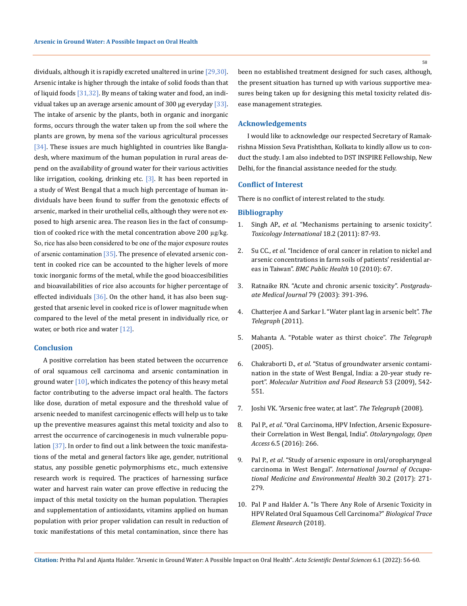dividuals, although it is rapidly excreted unaltered in urine [29,30]. Arsenic intake is higher through the intake of solid foods than that of liquid foods  $[31,32]$ . By means of taking water and food, an individual takes up an average arsenic amount of 300  $\mu$ g everyday [33]. The intake of arsenic by the plants, both in organic and inorganic forms, occurs through the water taken up from the soil where the plants are grown, by mena sof the various agricultural processes [34]. These issues are much highlighted in countries like Bangladesh, where maximum of the human population in rural areas depend on the availability of ground water for their various activities like irrigation, cooking, drinking etc.  $[3]$ . It has been reported in a study of West Bengal that a much high percentage of human individuals have been found to suffer from the genotoxic effects of arsenic, marked in their urothelial cells, although they were not exposed to high arsenic area. The reason lies in the fact of consumption of cooked rice with the metal concentration above 200  $\mu$ g/kg. So, rice has also been considered to be one of the major exposure routes of arsenic contamination [35]. The presence of elevated arsenic content in cooked rice can be accounted to the higher levels of more toxic inorganic forms of the metal, while the good bioaccesibilities and bioavailabilities of rice also accounts for higher percentage of effected individuals  $[36]$ . On the other hand, it has also been suggested that arsenic level in cooked rice is of lower magnitude when compared to the level of the metal present in individually rice, or water, or both rice and water  $[12]$ .

### **Conclusion**

A positive correlation has been stated between the occurrence of oral squamous cell carcinoma and arsenic contamination in ground water  $[10]$ , which indicates the potency of this heavy metal factor contributing to the adverse impact oral health. The factors like dose, duration of metal exposure and the threshold value of arsenic needed to manifest carcinogenic effects will help us to take up the preventive measures against this metal toxicity and also to arrest the occurrence of carcinogenesis in much vulnerable population  $\left[37\right]$ . In order to find out a link between the toxic manifestations of the metal and general factors like age, gender, nutritional status, any possible genetic polymorphisms etc., much extensive research work is required. The practices of harnessing surface water and harvest rain water can prove effective in reducing the impact of this metal toxicity on the human population. Therapies and supplementation of antioxidants, vitamins applied on human population with prior proper validation can result in reduction of toxic manifestations of this metal contamination, since there has

been no established treatment designed for such cases, although, the present situation has turned up with various supportive measures being taken up for designing this metal toxicity related disease management strategies.

#### **Acknowledgements**

I would like to acknowledge our respected Secretary of Ramakrishna Mission Seva Pratishthan, Kolkata to kindly allow us to conduct the study. I am also indebted to DST INSPIRE Fellowship, New Delhi, for the financial assistance needed for the study.

### **Conflict of Interest**

There is no conflict of interest related to the study.

### **Bibliography**

- 1. Singh AP., *et al*[. "Mechanisms pertaining to arsenic toxicity".](https://doi:%2010.4103/0971-6580.84258)  *[Toxicology International](https://doi:%2010.4103/0971-6580.84258)* 18.2 (2011): 87-93.
- 2. Su CC., *et al*[. "Incidence of oral cancer in relation to nickel and](http://doi.org/10.1186/1471-2458-10-67)  [arsenic concentrations in farm soils of patients' residential ar](http://doi.org/10.1186/1471-2458-10-67)eas in Taiwan". *[BMC Public Health](http://doi.org/10.1186/1471-2458-10-67)* 10 (2010): 67.
- 3. [Ratnaike RN. "Acute and chronic arsenic toxicity".](https://www.ncbi.nlm.nih.gov/pmc/articles/PMC1742758/) *Postgradu[ate Medical Journal](https://www.ncbi.nlm.nih.gov/pmc/articles/PMC1742758/)* 79 (2003): 391-396.
- 4. [Chatterjee A and Sarkar I. "Water plant lag in arsenic belt".](https://www.telegraphindia.com/west-bengal/water-plant-lag-in-arsenic-belt/cid/446056) *The [Telegraph](https://www.telegraphindia.com/west-bengal/water-plant-lag-in-arsenic-belt/cid/446056)* (2011).
- 5. [Mahanta A. "Potable water as thirst choice".](https://www.telegraphindia.com/north-east/potable-water-as-thirst-choice/cid/1617775) *The Telegraph* [\(2005\).](https://www.telegraphindia.com/north-east/potable-water-as-thirst-choice/cid/1617775)
- 6. Chakraborti D., *et al*[. "Status of groundwater arsenic contami](https://doi:10.1002/mnfr.200700517)[nation in the state of West Bengal, India: a 20-year study re](https://doi:10.1002/mnfr.200700517)port". *[Molecular Nutrition and Food Research](https://doi:10.1002/mnfr.200700517)* 53 (2009), 542- [551.](https://doi:10.1002/mnfr.200700517)
- 7. [Joshi VK. "Arsenic free water, at last".](https://www.telegraphindia.com/science-tech/arsenic-free-water-at-last/cid/609680) *The Telegraph* (2008).
- 8. Pal P., *et al*[. "Oral Carcinoma, HPV Infection, Arsenic Exposure](https://www.omicsonline.org/open-access/oral-carcinoma-hpv-infection-arsenic-exposuretheir-correlation-in-westbengal-india-2161-119X-1000266.php?aid=80912)[their Correlation in West Bengal, India".](https://www.omicsonline.org/open-access/oral-carcinoma-hpv-infection-arsenic-exposuretheir-correlation-in-westbengal-india-2161-119X-1000266.php?aid=80912) *Otolaryngology, Open Access* [6.5 \(2016\): 266.](https://www.omicsonline.org/open-access/oral-carcinoma-hpv-infection-arsenic-exposuretheir-correlation-in-westbengal-india-2161-119X-1000266.php?aid=80912)
- 9. Pal P., *et al*[. "Study of arsenic exposure in oral/oropharyngeal](https://pubmed.ncbi.nlm.nih.gov/28366956/)  carcinoma in West Bengal". *[International Journal of Occupa](https://pubmed.ncbi.nlm.nih.gov/28366956/)[tional Medicine and Environmental Health](https://pubmed.ncbi.nlm.nih.gov/28366956/)* 30.2 (2017): 271- [279.](https://pubmed.ncbi.nlm.nih.gov/28366956/)
- 10. [Pal P and Halder A. "Is There Any Role of Arsenic Toxicity in](https://www.wizdom.ai/publication/10.1007/S12011-018-1419-6/title/is_there_any_role_of_arsenic_toxicity_in_hpv_related_oral_squamous_cell_carcinoma)  [HPV Related Oral Squamous Cell Carcinoma?"](https://www.wizdom.ai/publication/10.1007/S12011-018-1419-6/title/is_there_any_role_of_arsenic_toxicity_in_hpv_related_oral_squamous_cell_carcinoma) *Biological Trace [Element Research](https://www.wizdom.ai/publication/10.1007/S12011-018-1419-6/title/is_there_any_role_of_arsenic_toxicity_in_hpv_related_oral_squamous_cell_carcinoma)* (2018).

**Citation:** Pritha Pal and Ajanta Halder*.* "Arsenic in Ground Water: A Possible Impact on Oral Health". *Acta Scientific Dental Sciences* 6.1 (2022): 56-60.

58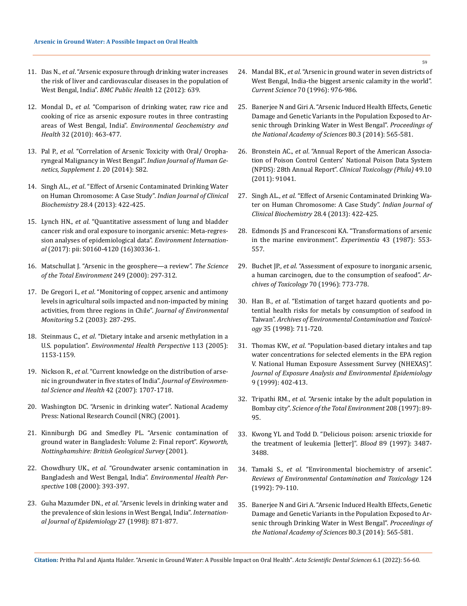- 11. Das N., *et al*[. "Arsenic exposure through drinking water increases](https://pubmed.ncbi.nlm.nih.gov/22883023/)  [the risk of liver and cardiovascular diseases in the population of](https://pubmed.ncbi.nlm.nih.gov/22883023/)  West Bengal, India". *[BMC Public Health](https://pubmed.ncbi.nlm.nih.gov/22883023/)* 12 (2012): 639.
- 12. Mondal D., *et al*[. "Comparison of drinking water, raw rice and](https://pubmed.ncbi.nlm.nih.gov/20505983/)  [cooking of rice as arsenic exposure routes in three contrasting](https://pubmed.ncbi.nlm.nih.gov/20505983/)  areas of West Bengal, India". *[Environmental Geochemistry and](https://pubmed.ncbi.nlm.nih.gov/20505983/)  Health* [32 \(2010\): 463-477.](https://pubmed.ncbi.nlm.nih.gov/20505983/)
- 13. Pal P., *et al*[. "Correlation of Arsenic Toxicity with Oral/ Oropha](https://www.researchgate.net/publication/282973392_Corelation_of_Arsenic_toxicity_with_Oral_and_Oropharyngeal_Malignancy_in_West_Bengal)[ryngeal Malignancy in West Bengal".](https://www.researchgate.net/publication/282973392_Corelation_of_Arsenic_toxicity_with_Oral_and_Oropharyngeal_Malignancy_in_West_Bengal) *Indian Journal of Human Ge[netics, Supplement 1.](https://www.researchgate.net/publication/282973392_Corelation_of_Arsenic_toxicity_with_Oral_and_Oropharyngeal_Malignancy_in_West_Bengal)* 20 (2014): S82.
- 14. Singh AL., *et al*[. "Effect of Arsenic Contaminated Drinking Water](http://doi.org/10.1007/s12291-013-0330-3)  [on Human Chromosome: A Case Study".](http://doi.org/10.1007/s12291-013-0330-3) *Indian Journal of Clinical Biochemistry* [28.4 \(2013\): 422-425.](http://doi.org/10.1007/s12291-013-0330-3)
- 15. Lynch HN., *et al*[. "Quantitative assessment of lung and bladder](https://doi:%2010.1016/j.envint.2017.04.008)  [cancer risk and oral exposure to inorganic arsenic: Meta-regres](https://doi:%2010.1016/j.envint.2017.04.008)[sion analyses of epidemiological data".](https://doi:%2010.1016/j.envint.2017.04.008) *Environment International* [\(2017\): pii: S0160-4120 \(16\)30336-1.](https://doi:%2010.1016/j.envint.2017.04.008)
- 16. [Matschullat J. "Arsenic in the geosphere—a review".](https://www.sciencedirect.com/science/article/abs/pii/S0048969799005240) *The Science [of the Total Environment](https://www.sciencedirect.com/science/article/abs/pii/S0048969799005240)* 249 (2000): 297-312.
- 17. De Gregori I., *et al*[. "Monitoring of copper, arsenic and antimony](https://www.semanticscholar.org/paper/Monitoring-of-copper%2C-arsenic-and-antimony-levels-Gregori-Fuentes/e46c09f7f9192dfb1c457a43ed62557701fc4394)  [levels in agricultural soils impacted and non-impacted by mining](https://www.semanticscholar.org/paper/Monitoring-of-copper%2C-arsenic-and-antimony-levels-Gregori-Fuentes/e46c09f7f9192dfb1c457a43ed62557701fc4394)  [activities, from three regions in Chile".](https://www.semanticscholar.org/paper/Monitoring-of-copper%2C-arsenic-and-antimony-levels-Gregori-Fuentes/e46c09f7f9192dfb1c457a43ed62557701fc4394) *Journal of Environmental Monitoring* [5.2 \(2003\): 287-295.](https://www.semanticscholar.org/paper/Monitoring-of-copper%2C-arsenic-and-antimony-levels-Gregori-Fuentes/e46c09f7f9192dfb1c457a43ed62557701fc4394)
- 18. Steinmaus C., *et al*[. "Dietary intake and arsenic methylation in a](https://www.ncbi.nlm.nih.gov/pmc/articles/PMC1280394/)  U.S. population". *[Environmental Health Perspective](https://www.ncbi.nlm.nih.gov/pmc/articles/PMC1280394/)* 113 (2005): [1153-1159.](https://www.ncbi.nlm.nih.gov/pmc/articles/PMC1280394/)
- 19. Nickson R., *et al*[. "Current knowledge on the distribution of arse](https://www.tandfonline.com/doi/abs/10.1080/10934520701564194?journalCode=lesa20)[nic in groundwater in five states of India".](https://www.tandfonline.com/doi/abs/10.1080/10934520701564194?journalCode=lesa20) *Journal of Environmen[tal Science and Health](https://www.tandfonline.com/doi/abs/10.1080/10934520701564194?journalCode=lesa20)* 42 (2007): 1707-1718.
- 20. [Washington DC. "Arsenic in drinking water". National Academy](https://www.nap.edu/catalog/6444/arsenic-in-drinking-water)  [Press: National Research Council \(NRC\) \(2001\).](https://www.nap.edu/catalog/6444/arsenic-in-drinking-water)
- 21. [Kinniburgh DG and Smedley PL. "Arsenic contamination of](https://www.ncbi.nlm.nih.gov/pmc/articles/PMC6281155/)  [ground water in Bangladesh: Volume 2: Final report".](https://www.ncbi.nlm.nih.gov/pmc/articles/PMC6281155/) *Keyworth, [Nottinghamshire: British Geological Survey](https://www.ncbi.nlm.nih.gov/pmc/articles/PMC6281155/)* (2001).
- 22. Chowdhury UK., *et al*. "Groundwater arsenic contamination in Bangladesh and West Bengal, India". *Environmental Health Perspective* 108 (2000): 393-397.
- 23. Guha Mazumder DN., *et al*[. "Arsenic levels in drinking water and](https://pubmed.ncbi.nlm.nih.gov/9839746/)  [the prevalence of skin lesions in West Bengal, India".](https://pubmed.ncbi.nlm.nih.gov/9839746/) *Internation[al Journal of Epidemiology](https://pubmed.ncbi.nlm.nih.gov/9839746/)* 27 (1998): 871-877.
- 24. Mandal BK., *et al*[. "Arsenic in ground water in seven districts of](https://www.jstor.org/stable/pdf/24111635.pdf)  [West Bengal, India-the biggest arsenic calamity in the world".](https://www.jstor.org/stable/pdf/24111635.pdf)  *Current Science* [70 \(1996\): 976-986.](https://www.jstor.org/stable/pdf/24111635.pdf)
- 25. [Banerjee N and Giri A. "Arsenic Induced Health Effects, Genetic](http://doi:10.16943/ptinsa/2014/v80i3/55130)  [Damage and Genetic Variants in the Population Exposed to Ar](http://doi:10.16943/ptinsa/2014/v80i3/55130)[senic through Drinking Water in West Bengal".](http://doi:10.16943/ptinsa/2014/v80i3/55130) *Proceedings of [the National Academy of Sciences](http://doi:10.16943/ptinsa/2014/v80i3/55130)* 80.3 (2014): 565-581.
- 26. Bronstein AC., *et al*[. "Annual Report of the American Associa](https://pubmed.ncbi.nlm.nih.gov/23272763/)[tion of Poison Control Centers' National Poison Data System](https://pubmed.ncbi.nlm.nih.gov/23272763/)  (NPDS): 28th Annual Report". *[Clinical Toxicology \(Phila\)](https://pubmed.ncbi.nlm.nih.gov/23272763/)* 49.10 [\(2011\): 91041.](https://pubmed.ncbi.nlm.nih.gov/23272763/)
- 27. Singh AL., *et al*[. "Effect of Arsenic Contaminated Drinking Wa](http://doi.org/10.1007/s12291-013-0330-3)[ter on Human Chromosome: A Case Study".](http://doi.org/10.1007/s12291-013-0330-3) *Indian Journal of [Clinical Biochemistry](http://doi.org/10.1007/s12291-013-0330-3)* 28.4 (2013): 422-425.
- 28. [Edmonds JS and Francesconi KA. "Transformations of arsenic](https://pubmed.ncbi.nlm.nih.gov/3556209/)  [in the marine environment".](https://pubmed.ncbi.nlm.nih.gov/3556209/) *Experimentia* 43 (1987): 553- [557.](https://pubmed.ncbi.nlm.nih.gov/3556209/)
- 29. Buchet JP., *et al*[. "Assessment of exposure to inorganic arsenic,](https://pubmed.ncbi.nlm.nih.gov/8896724/)  [a human carcinogen, due to the consumption of seafood".](https://pubmed.ncbi.nlm.nih.gov/8896724/) *Ar[chives of Toxicology](https://pubmed.ncbi.nlm.nih.gov/8896724/)* 70 (1996): 773-778.
- 30. Han B., *et al*[. "Estimation of target hazard quotients and po](https://pubmed.ncbi.nlm.nih.gov/9776791/)[tential health risks for metals by consumption of seafood in](https://pubmed.ncbi.nlm.nih.gov/9776791/)  Taiwan". *[Archives of Environmental Contamination and Toxicol](https://pubmed.ncbi.nlm.nih.gov/9776791/)ogy* [35 \(1998\): 711-720.](https://pubmed.ncbi.nlm.nih.gov/9776791/)
- 31. Thomas KW., *et al*[. "Population-based dietary intakes and tap](https://pubmed.ncbi.nlm.nih.gov/10554143/)  [water concentrations for selected elements in the EPA region](https://pubmed.ncbi.nlm.nih.gov/10554143/)  [V. National Human Exposure Assessment Survey \(NHEXAS\)".](https://pubmed.ncbi.nlm.nih.gov/10554143/)  *[Journal of Exposure Analysis and Environmental Epidemiology](https://pubmed.ncbi.nlm.nih.gov/10554143/)*  [9 \(1999\): 402-413.](https://pubmed.ncbi.nlm.nih.gov/10554143/)
- 32. Tripathi RM., *et al*. "Arsenic intake by the adult population in Bombay city". *Science of the Total Environment* 208 (1997): 89- 95.
- 33. [Kwong YL and Todd D. "Delicious poison: arsenic trioxide for](https://pubmed.ncbi.nlm.nih.gov/9129058/)  [the treatment of leukemia \[letter\]".](https://pubmed.ncbi.nlm.nih.gov/9129058/) *Blood* 89 (1997): 3487- [3488.](https://pubmed.ncbi.nlm.nih.gov/9129058/)
- 34. Tamaki S., *et al*[. "Environmental biochemistry of arsenic".](https://pubmed.ncbi.nlm.nih.gov/1732996/)  *[Reviews of Environmental Contamination and Toxicology](https://pubmed.ncbi.nlm.nih.gov/1732996/)* 124 [\(1992\): 79-110.](https://pubmed.ncbi.nlm.nih.gov/1732996/)
- 35. [Banerjee N and Giri A. "Arsenic Induced Health Effects, Genetic](http://doi:10.16943/ptinsa/2014/v80i3/55130)  [Damage and Genetic Variants in the Population Exposed to Ar](http://doi:10.16943/ptinsa/2014/v80i3/55130)[senic through Drinking Water in West Bengal".](http://doi:10.16943/ptinsa/2014/v80i3/55130) *Proceedings of [the National Academy of Sciences](http://doi:10.16943/ptinsa/2014/v80i3/55130)* 80.3 (2014): 565-581.

**Citation:** Pritha Pal and Ajanta Halder*.* "Arsenic in Ground Water: A Possible Impact on Oral Health". *Acta Scientific Dental Sciences* 6.1 (2022): 56-60.